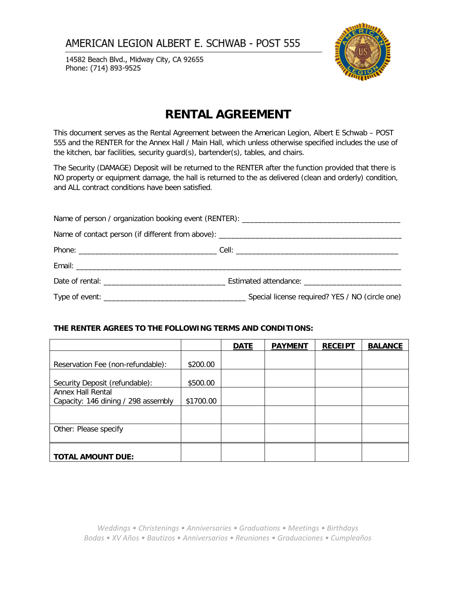14582 Beach Blvd., Midway City, CA 92655 Phone: (714) 893-9525



# **RENTAL AGREEMENT**

This document serves as the Rental Agreement between the American Legion, Albert E Schwab – POST 555 and the RENTER for the Annex Hall / Main Hall, which unless otherwise specified includes the use of the kitchen, bar facilities, security guard(s), bartender(s), tables, and chairs.

The Security (DAMAGE) Deposit will be returned to the RENTER after the function provided that there is NO property or equipment damage, the hall is returned to the as delivered (clean and orderly) condition, and ALL contract conditions have been satisfied.

### **THE RENTER AGREES TO THE FOLLOWING TERMS AND CONDITIONS:**

|                                     |           | <b>DATE</b> | <b>PAYMENT</b> | <b>RECEIPT</b> | <b>BALANCE</b> |
|-------------------------------------|-----------|-------------|----------------|----------------|----------------|
|                                     |           |             |                |                |                |
| Reservation Fee (non-refundable):   | \$200.00  |             |                |                |                |
|                                     |           |             |                |                |                |
| Security Deposit (refundable):      | \$500.00  |             |                |                |                |
| Annex Hall Rental                   |           |             |                |                |                |
| Capacity: 146 dining / 298 assembly | \$1700.00 |             |                |                |                |
|                                     |           |             |                |                |                |
|                                     |           |             |                |                |                |
| Other: Please specify               |           |             |                |                |                |
|                                     |           |             |                |                |                |
|                                     |           |             |                |                |                |
| <b>TOTAL AMOUNT DUE:</b>            |           |             |                |                |                |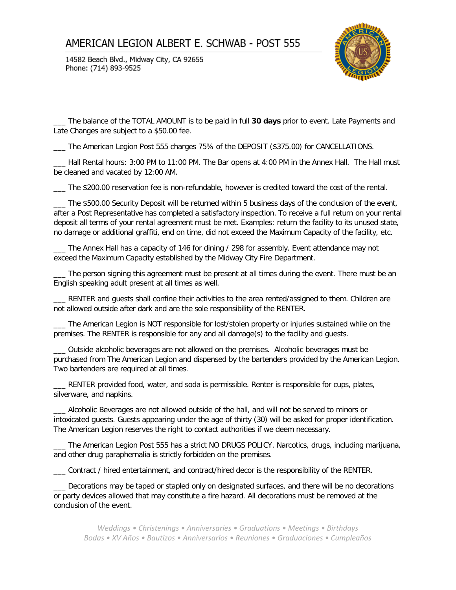14582 Beach Blvd., Midway City, CA 92655 Phone: (714) 893-9525



\_\_\_ The balance of the TOTAL AMOUNT is to be paid in full **30 days** prior to event. Late Payments and Late Changes are subject to a \$50.00 fee.

\_\_\_ The American Legion Post 555 charges 75% of the DEPOSIT (\$375.00) for CANCELLATIONS.

\_\_\_ Hall Rental hours: 3:00 PM to 11:00 PM. The Bar opens at 4:00 PM in the Annex Hall. The Hall must be cleaned and vacated by 12:00 AM.

\_\_\_ The \$200.00 reservation fee is non-refundable, however is credited toward the cost of the rental.

\_\_\_ The \$500.00 Security Deposit will be returned within 5 business days of the conclusion of the event, after a Post Representative has completed a satisfactory inspection. To receive a full return on your rental deposit all terms of your rental agreement must be met. Examples: return the facility to its unused state, no damage or additional graffiti, end on time, did not exceed the Maximum Capacity of the facility, etc.

The Annex Hall has a capacity of 146 for dining / 298 for assembly. Event attendance may not exceed the Maximum Capacity established by the Midway City Fire Department.

The person signing this agreement must be present at all times during the event. There must be an English speaking adult present at all times as well.

\_\_\_ RENTER and guests shall confine their activities to the area rented/assigned to them. Children are not allowed outside after dark and are the sole responsibility of the RENTER.

\_\_\_ The American Legion is NOT responsible for lost/stolen property or injuries sustained while on the premises. The RENTER is responsible for any and all damage(s) to the facility and guests.

\_\_\_ Outside alcoholic beverages are not allowed on the premises. Alcoholic beverages must be purchased from The American Legion and dispensed by the bartenders provided by the American Legion. Two bartenders are required at all times.

\_\_\_ RENTER provided food, water, and soda is permissible. Renter is responsible for cups, plates, silverware, and napkins.

\_\_\_ Alcoholic Beverages are not allowed outside of the hall, and will not be served to minors or intoxicated guests. Guests appearing under the age of thirty (30) will be asked for proper identification. The American Legion reserves the right to contact authorities if we deem necessary.

\_\_\_ The American Legion Post 555 has a strict NO DRUGS POLICY. Narcotics, drugs, including marijuana, and other drug paraphernalia is strictly forbidden on the premises.

\_\_\_ Contract / hired entertainment, and contract/hired decor is the responsibility of the RENTER.

\_\_\_ Decorations may be taped or stapled only on designated surfaces, and there will be no decorations or party devices allowed that may constitute a fire hazard. All decorations must be removed at the conclusion of the event.

*Weddings • Christenings • Anniversaries • Graduations • Meetings • Birthdays Bodas • XV Años • Bautizos • Anniversarios • Reuniones • Graduaciones • Cumpleaños*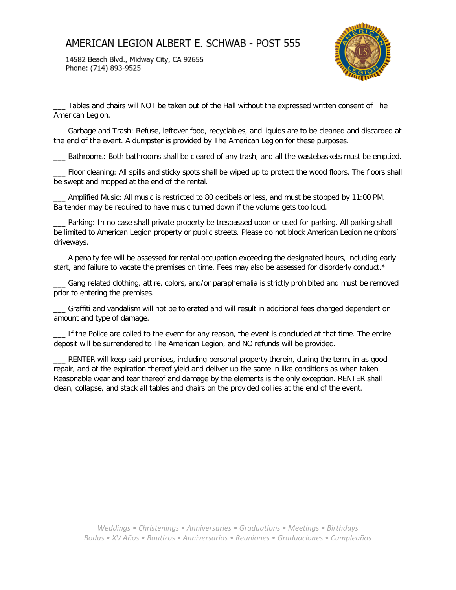14582 Beach Blvd., Midway City, CA 92655 Phone: (714) 893-9525



\_\_\_ Tables and chairs will NOT be taken out of the Hall without the expressed written consent of The American Legion.

\_\_\_ Garbage and Trash: Refuse, leftover food, recyclables, and liquids are to be cleaned and discarded at the end of the event. A dumpster is provided by The American Legion for these purposes.

\_\_\_ Bathrooms: Both bathrooms shall be cleared of any trash, and all the wastebaskets must be emptied.

\_\_\_ Floor cleaning: All spills and sticky spots shall be wiped up to protect the wood floors. The floors shall be swept and mopped at the end of the rental.

\_\_\_ Amplified Music: All music is restricted to 80 decibels or less, and must be stopped by 11:00 PM. Bartender may be required to have music turned down if the volume gets too loud.

Parking: In no case shall private property be trespassed upon or used for parking. All parking shall be limited to American Legion property or public streets. Please do not block American Legion neighbors' driveways.

\_\_\_ A penalty fee will be assessed for rental occupation exceeding the designated hours, including early start, and failure to vacate the premises on time. Fees may also be assessed for disorderly conduct.\*

\_\_\_ Gang related clothing, attire, colors, and/or paraphernalia is strictly prohibited and must be removed prior to entering the premises.

\_\_\_ Graffiti and vandalism will not be tolerated and will result in additional fees charged dependent on amount and type of damage.

If the Police are called to the event for any reason, the event is concluded at that time. The entire deposit will be surrendered to The American Legion, and NO refunds will be provided.

\_\_\_ RENTER will keep said premises, including personal property therein, during the term, in as good repair, and at the expiration thereof yield and deliver up the same in like conditions as when taken. Reasonable wear and tear thereof and damage by the elements is the only exception. RENTER shall clean, collapse, and stack all tables and chairs on the provided dollies at the end of the event.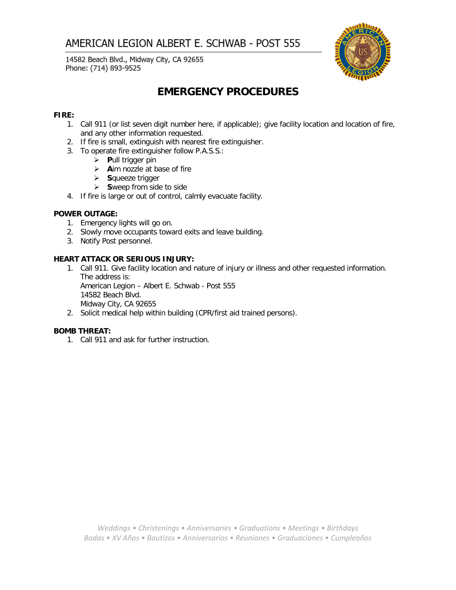14582 Beach Blvd., Midway City, CA 92655 Phone: (714) 893-9525



# **EMERGENCY PROCEDURES**

### **FIRE:**

- 1. Call 911 (or list seven digit number here, if applicable); give facility location and location of fire, and any other information requested.
- 2. If fire is small, extinguish with nearest fire extinguisher.
- 3. To operate fire extinguisher follow P.A.S.S.:
	- **P**ull trigger pin
	- **A**im nozzle at base of fire
	- **S**queeze trigger
	- **S**weep from side to side
- 4. If fire is large or out of control, calmly evacuate facility.

### **POWER OUTAGE:**

- 1. Emergency lights will go on.
- 2. Slowly move occupants toward exits and leave building.
- 3. Notify Post personnel.

### **HEART ATTACK OR SERIOUS INJURY:**

1. Call 911. Give facility location and nature of injury or illness and other requested information. The address is: American Legion – Albert E. Schwab - Post 555 14582 Beach Blvd.

Midway City, CA 92655

2. Solicit medical help within building (CPR/first aid trained persons).

#### **BOMB THREAT:**

1. Call 911 and ask for further instruction.